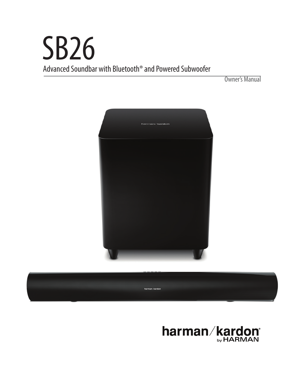# SB26 Advanced Soundbar with Bluetooth® and Powered Subwoofer

Owner's Manual





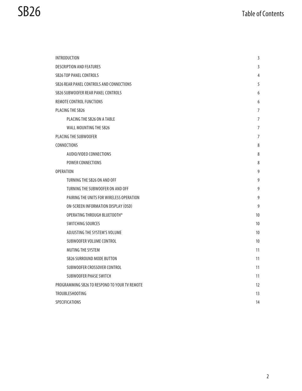| <b>INTRODUCTION</b>                           | 3               |
|-----------------------------------------------|-----------------|
| <b>DESCRIPTION AND FEATURES</b>               | 3               |
| <b>SB26 TOP PANEL CONTROLS</b>                | 4               |
| SB26 REAR PANEL CONTROLS AND CONNECTIONS      | 5               |
| SB26 SUBWOOFER REAR PANEL CONTROLS            | 6               |
| REMOTE CONTROL FUNCTIONS                      | 6               |
| PLACING THE SB26                              | 7               |
| PLACING THE SB26 ON A TABLE                   | 7               |
| WALL MOUNTING THE SB26                        | 7               |
| PLACING THE SUBWOOFER                         | 7               |
| CONNECTIONS                                   | 8               |
| AUDIO/VIDEO CONNECTIONS                       | 8               |
| <b>POWER CONNECTIONS</b>                      | 8               |
| <b>OPERATION</b>                              | 9               |
| TURNING THE SB26 ON AND OFF                   | 9               |
| TURNING THE SUBWOOFER ON AND OFF              | 9               |
| PAIRING THE UNITS FOR WIRELESS OPERATION      | 9               |
| ON-SCREEN INFORMATION DISPLAY (OSD)           | 9               |
| OPERATING THROUGH BLUETOOTH®                  | 10              |
| SWITCHING SOURCES                             | 10              |
| ADJUSTING THE SYSTEM'S VOLUME                 | 10              |
| SUBWOOFER VOLUME CONTROL                      | 10 <sup>°</sup> |
| MUTING THE SYSTEM                             | 11              |
| <b>SB26 SURROUND MODE BUTTON</b>              | 11              |
| SUBWOOFER CROSSOVER CONTROL                   | 11              |
| SUBWOOFER PHASE SWITCH                        | 11              |
| PROGRAMMING SB26 TO RESPOND TO YOUR TV REMOTE | 12              |
| TROUBLESHOOTING                               | 13              |
| <b>SPECIFICATIONS</b>                         | 14              |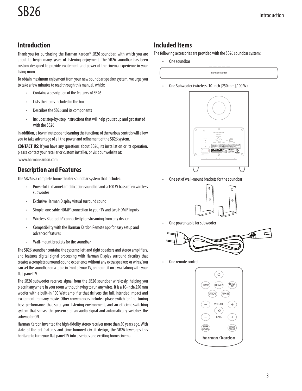# **Introduction**

Thank you for purchasing the Harman Kardon® SB26 soundbar, with which you are about to begin many years of listening enjoyment. The SB26 soundbar has been custom-designed to provide excitement and power of the cinema experience in your living room.

To obtain maximum enjoyment from your new soundbar speaker system, we urge you to take a few minutes to read through this manual, which:

- Contains a description of the features of SB26
- • Lists the items included in the box
- Describes the SB26 and its components
- Includes step-by-step instructions that will help you set up and get started with the SB26

In addition, a few minutes spent learning the functions of the various controls will allow you to take advantage of all the power and refinement of the SB26 system.

**CONTACT US**: If you have any questions about SB26, its installation or its operation, please contact your retailer or custom installer, or visit our website at: www.harmankardon.com

### **Description and Features**

The SB26 is a complete home theater soundbar system that includes:

- • Powerful 2-channel amplification soundbar and a 100 W bass reflex wireless subwoofer
- • Exclusive Harman Display virtual surround sound
- Simple, one cable HDMI<sup>®</sup> connection to your TV and two HDMI<sup>®</sup> inputs
- Wireless Bluetooth<sup>®</sup> connectivity for streaming from any device
- • Compatibility with the Harman Kardon Remote app for easy setup and advanced features
- • Wall-mount brackets for the soundbar

The SB26 soundbar contains the system's left and right speakers and stereo amplifiers, and features digital signal processing with Harman Display surround circuitry that creates a complete surround-sound experience without any extra speakers or wires. You can set the soundbar on a table in front of your TV, or mount it on a wall along with your flat-panel TV.

The SB26 subwoofer receives signal from the SB26 soundbar wirelessly, helping you place it anywhere in your room without having to run any wires. It is a 10-inch/250 mm woofer with a built-in 100 Watt amplifier that delivers the full, intended impact and excitement from any movie. Other conveniences include a phase switch for fine-tuning bass performance that suits your listening environment, and an efficient switching system that senses the presence of an audio signal and automatically switches the subwoofer ON.

Harman Kardon invented the high-fidelity stereo receiver more than 50 years ago. With state-of-the-art features and time-honored circuit design, the SB26 leverages this heritage to turn your flat-panel TV into a serious and exciting home cinema.

# **Included Items**

The following accessories are provided with the SB26 soundbar system:

One soundbar

harman/kardon

One Subwoofer (wireless, 10-inch [250 mm], 100 W)



One set of wall-mount brackets for the soundbar



One power cable for subwoofer



One remote control

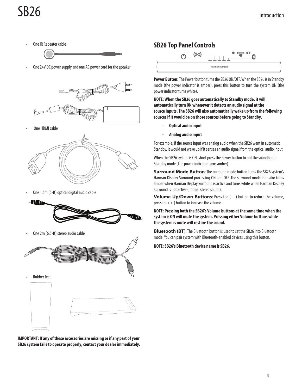One IR Repeater cable



One 24V DC power supply and one AC power cord for the speaker



One HDMI cable



One 1.5m (5-ft) optical digital audio cable



One 2m (6.5-ft) stereo audio cable



**IMPORTANT: If any of these accessories are missing or if any part of your SB26 system fails to operate properly, contact your dealer immediately.**

# **SB26 Top Panel Controls**



**Power Button:** The Power button turns the SB26 ON/OFF. When the SB26 is in Standby mode (the power indicator is amber), press this button to turn the system ON (the power indicator turns white).

**NOTE: When the SB26 goes automatically to Standby mode, it will automatically turn ON whenever it detects an audio signal at the source inputs. The SB26 will also automatically wake up from the following sources if it would be on those sources before going to Standby.**

- **Optical audio input**
- • **Analog audio input**

For example, if the source input was analog audio when the SB26 went in automatic Standby, it would not wake up if it senses an audio signal from the optical audio input.

When the SB26 system is ON, short press the Power button to put the soundbar in Standby mode (The power indicator turns amber).

**Surround Mode Button:** The surround mode button turns the SB26 system's Harman Display Surround processing ON and OFF. The surround mode indicator turns amber when Harman Display Surround is active and turns white when Harman Display Surround is not active (normal stereo sound).

**Volume Up/Down Buttons**: Press the ( **–** ) button to reduce the volume, press the ( **+** ) button to increase the volume.

**NOTE: Pressing both the SB26's Volume buttons at the same time when the system is ON will mute the system. Pressing either Volume buttons while the system is mute will restore the sound.**

**Bluetooth (BT)**: The Bluetooth button is used to set the SB26 into Bluetooth mode. You can pair system with Bluetooth-enabled devices using this button.

**NOTE: SB26's Bluetooth device name is SB26.**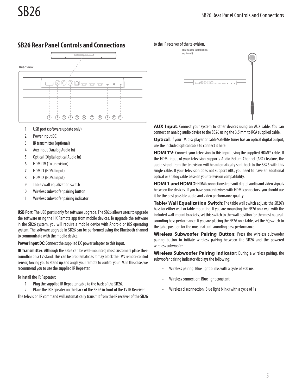# **SB26 Rear Panel Controls and Connections**



- 1. USB port (software update only)
- 2. Power input DC
- 3. IR transmitter (optional)
- 4. Aux input (Analog Audio in)
- 5. Optical (Digital optical Audio in)
- 6. HDMI TV (To television)
- 7. HDMI 1 (HDMI input)
- 8. HDMI 2 (HDMI input)
- 9. Table /wall equalization switch
- 10. Wireless subwoofer pairing button
- 11. Wireless subwoofer pairing indicator

**USB Port**: The USB port is only for software upgrade. The SB26 allows users to upgrade the software using the HK Remote app from mobile devices. To upgrade the software in the SB26 system, you will require a mobile device with Android or iOS operating system. The software upgrade in SB26 can be performed using the Bluetooth channel to communicate with the mobile device.

**Power Input DC**: Connect the supplied DC power adapter to this input.

**IR Transmitter**: Although the SB26 can be wall-mounted, most customers place their soundbar on a TV stand. This can be problematic as it may block the TV's remote control sensor, forcing you to stand up and angle your remote to control your TV. In this case, we recommend you to use the supplied IR Repeater.

To install the IR Repeater:

- 1. Plug the supplied IR Repeater cable to the back of the SB26.
- 2. Place the IR Repeater on the back of the SB26 in front of the TV IR Receiver.

The television IR command will automatically transmit from the IR receiver of the SB26

#### to the IR receiver of the television.



**AUX Input**: Connect your system to other devices using an AUX cable. You can connect an analog audio device to the SB26 using the 3.5 mm to RCA supplied cable.

**Optical**: If your TV, disc player or cable/satellite tuner has an optical digital output, use the included optical cable to connect it here.

**HDMI TV**: Connect your television to this input using the supplied HDMI<sup>®</sup> cable. If the HDMI input of your television supports Audio Return Channel (ARC) feature, the audio signal from the television will be automatically sent back to the SB26 with this single cable. If your television does not support ARC, you need to have an additional optical or analog cable base on your television compatibility.

**HDMI 1 and HDMI 2**: HDMI connections transmit digital audio and video signals between the devices. If you have source devices with HDMI connectors, you should use it for the best possible audio and video performance quality.

**Table/ Wall Equalization Switch**: The table wall switch adjusts the SB26's bass for either wall or table mounting. If you are mounting the SB26 on a wall with the included wall-mount brackets, set this switch to the wall position for the most naturalsounding bass performance. If you are placing the SB26 on a table, set the EQ switch to the table position for the most natural-sounding bass performance.

**Wireless Subwoofer Pairing Button**: Press the wireless subwoofer pairing button to initiate wireless pairing between the SB26 and the powered wireless subwoofer.

**Wireless Subwoofer Pairing Indicator**: During a wireless pairing, the subwoofer pairing indicator displays the following:

- Wireless pairing: Blue light blinks with a cycle of 300 ms
- Wireless connection: Blue light constant
- Wireless disconnection: Blue light blinks with a cycle of 1s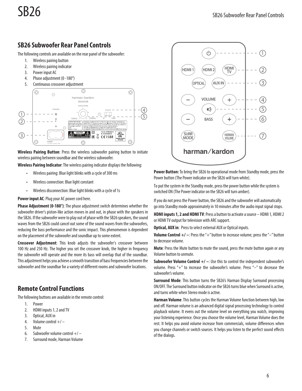# **SB26 Subwoofer Rear Panel Controls**

The following controls are available on the rear panel of the subwoofer:

- 1. Wireless pairing button
- 2. Wireless pairing indicator
- 3. Power input AC
- 4. Phase adjustment (0 -180°)
- 5. Continuous crossover adjustment



**Wireless Pairing Button**: Press the wireless subwoofer pairing button to initiate wireless pairing between soundbar and the wireless subwoofer.

**Wireless Pairing Indicator**: The wireless pairing indicator displays the following:

- Wireless pairing: Blue light blinks with a cycle of 300 ms
- • Wireless connection: Blue light constant
- • Wireless disconnection: Blue light blinks with a cycle of 1s

**Power input AC**: Plug your AC power cord here.

**Phase Adjustment (0-180°)**: The phase adjustment switch determines whether the subwoofer driver's piston-like action moves in and out, in phase with the speakers in the SB26. If the subwoofer were to play out of phase with the SB26 speakers, the sound waves from the SB26 could cancel out some of the sound waves from the subwoofers, reducing the bass performance and the sonic impact. This phenomenon is dependent on the placement of the subwoofer and soundbar up to some extent.

**Crossover Adjustment**: This knob adjusts the subwoofer's crossover between 100 Hz and 250 Hz. The higher you set the crossover knob, the higher in frequency the subwoofer will operate and the more its bass will overlap that of the soundbar. This adjustment helps you achieve a smooth transition of bass frequencies between the subwoofer and the soundbar for a variety of different rooms and subwoofer locations.

## **Remote Control Functions**

The following buttons are available in the remote control:

- 1. Power
- 2. HDMI inputs 1, 2 and TV
- 3. Optical, AUX in
- 4. Volume control  $+/-$
- 5. Mute
- 6. Subwoofer volume control  $+/-$
- 7. Surround mode, Harman Volume



**Power Button:** To bring the SB26 to operational mode from Standby mode, press the Power button (The Power indicator on the SB26 will turn white).

To put the system in the Standby mode, press the power button while the system is switched ON (The Power indicator on the SB26 will turn amber).

If you do not press the Power button, the SB26 and the subwoofer will automatically go into Standby mode approximately in 10 minutes after the audio input signal stops.

**HDMI inputs 1, 2 and HDMI TV**: Press a button to activate a source – HDMI 1, HDMI 2 or HDMI TV output for television with ARC support.

**Optical, AUX in**: Press to select external AUX or Optical inputs.

**Volume Control +/ -:** Press the "+" button to increase volume; press the "-" button to decrease volume.

**Mute**: Press the Mute button to mute the sound, press the mute button again or any Volume button to unmute.

**Subwoofer Volume Control +/ -:** Use this to control the independent subwoofer's volume. Press "+" to increase the subwoofer's volume. Press "–" to decrease the subwoofer's volume.

**Surround Mode**: This button turns the SB26's Harman Display Surround processing ON/OFF. The Surround button indicator on the SB26 turns blue when Surround is active, and turns white when Stereo mode is active.

**Harman Volume**: This button cycles the Harman Volume function between high, low and off. Harman volume is an advanced digital signal processing technology to control playback volume. It evens out the volume level on everything you watch, improving your listening experience. Once you choose the volume level, Harman Volume does the rest. It helps you avoid volume increase from commercials, volume differences when you change channels or switch sources. It helps you listen to the perfect sound effects of the dialogs.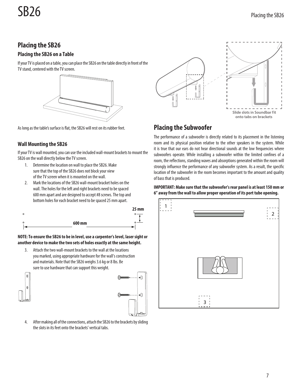# **Placing the SB26**

#### **Placing the SB26 on a Table**

If your TV is placed on a table, you can place the SB26 on the table directly in front of the TV stand, centered with the TV screen.



As long as the table's surface is flat, the SB26 will rest on its rubber feet.

#### **Wall Mounting the SB26**

If your TV is wall mounted, you can use the included wall-mount brackets to mount the SB26 on the wall directly below the TV screen.

- 1. Determine the location on wall to place the SB26. Make sure that the top of the SB26 does not block your view of the TV screen when it is mounted on the wall.
- 2. Mark the locations of the SB26 wall-mount bracket holes on the wall. The holes for the left and right brackets need to be spaced 600 mm apart and are designed to accept #8 screws. The top and bottom holes for each bracket need to be spaced 25 mm apart.



#### **NOTE: To ensure the SB26 to be in level, use a carpenter's level, laser sight or another device to make the two sets of holes exactly at the same height.**

3. Attach the two wall-mount brackets to the wall at the locations you marked, using appropriate hardware for the wall's construction and materials. Note that the SB26 weighs 3.6 kg or 8 lbs. Be sure to use hardware that can support this weight.

|  | f |  |
|--|---|--|
|  |   |  |



4. After making all of the connections, attach the SB26 to the brackets by sliding the slots in its feet onto the brackets' vertical tabs.



# **Placing the Subwoofer**

The performance of a subwoofer is directly related to its placement in the listening room and its physical position relative to the other speakers in the system. While it is true that our ears do not hear directional sounds at the low frequencies where subwoofers operate. While installing a subwoofer within the limited confines of a room, the reflections, standing waves and absorptions generated within the room will strongly influence the performance of any subwoofer system. As a result, the specific location of the subwoofer in the room becomes important to the amount and quality of bass that is produced.

#### **IMPORTANT: Make sure that the subwoofer's rear panel is at least 150 mm or 6" away from the wall to allow proper operation of its port tube opening.**

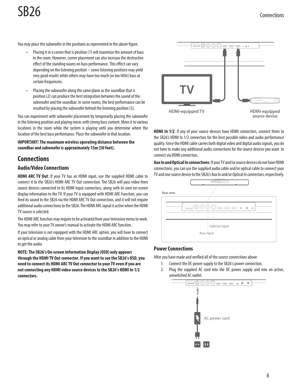# **SB26** Connections

You may place the subwoofer in the positions as represented in the above figure.

- Placing it in a corner that is position (1) will maximize the amount of bass in the room. However, corner placement can also increase the destructive effect of the standing waves on bass performance. This effect can vary depending on the listening position – some listening positions may yield very good results while others may have too much (or too little) bass at certain frequencies.
- • Placing the subwoofer along the same plane as the soundbar that is position (2) can produce the best integration between the sound of the subwoofer and the soundbar. In some rooms, the best performance can be resulted by placing the subwoofer behind the listening position (3).

You can experiment with subwoofer placement by temporarily placing the subwoofer in the listening position and playing music with strong bass content. Move it to various locations in the room while the system is playing until you determine where the location of the best bass performance. Place the subwoofer in that location.

**IMPORTANT: The maximum wireless operating distance between the soundbar and subwoofer is approximately 15m (50 feet).**

# **Connections**

#### **Audio/Video Connections**

**HDMI ARC TV Out**: If your TV has an HDMI input, use the supplied HDMI cable to connect it to the SB26's HDMI ARC TV Out connection. The SB26 will pass video from source devices connected to its HDMI Input connectors; along with its own on-screen display information to the TV. If your TV is equipped with HDMI ARC Function, you can feed its sound to the SB26 via the HDMI ARCTV Out connection, and it will not require additional audio connections to the SB26. The HDMI ARC signal is active when the HDMI TV source is selected.

The HDMI ARC function may require to be activated from your television menu to work. You may refer to your TV owner's manual to activate the HDMI ARC function.

If your television is not equipped with the HDMI ARC option, you will have to connect an optical or analog cable from your television to the soundbar in addition to the HDMI to get the audio.

**NOTE: The SB26's On-screen Information Display (OSD) only appears through the HDMI TV Out connector. If you want to see the SB26's OSD, you need to connect its HDMI ARC TV Out connector to your TV even if you are not connecting any HDMI video source devices to the SB26's HDMI In 1/2 connectors.**



**HDMI In 1/2:** If any of your source devices have HDMI connectors, connect them to the SB26's HDMI In 1/2 connectors for the best possible video and audio performance quality. Since the HDMI cable carries both digital video and digital audio signals, you do not have to make any additional audio connections for the source devices you want to connect via HDMI connectors.

**Aux In and Optical In connections**: If your TV and/or source devices do not have HDMI connections, you can use the supplied audio cable and/or optical cable to connect your TV and one source device to the SB26's Aux In and/or Optical In connectors, respectively.



#### **Power Connections**

After you have made and verified all of the source connections above:

- 1. Connect the DC power supply to the SB26's power connection.
- 2. Plug the supplied AC cord into the DC power supply and into an active, unswitched AC outlet.

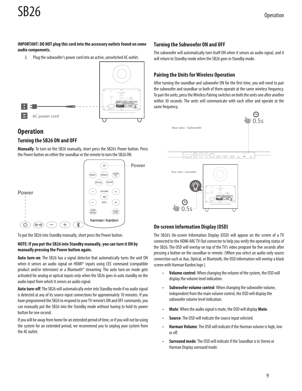# SB26

#### **IMPORTANT: DO NOT plug this cord into the accessory outlets found on some audio components.**

3. Plug the subwoofer's power cord into an active, unswitched AC outlet.



# **Operation**

#### **Turning the SB26 ON and OFF**

**Manually**: To turn on the SB26 manually, short press the SB26's Power button. Press the Power button on either the soundbar or the remote to turn the SB26 ON.



To put the SB26 into Standby manually, short press the Power button.

#### **NOTE: If you put the SB26 into Standby manually, you can turn it ON by manually pressing the Power button again.**

**Auto turn-on**: The SB26 has a signal detector that automatically turns the unit ON when it senses an audio signal on HDMI® inputs using CEC command (compatible product and/or television) or a Bluetooth® streaming. The auto turn-on mode gets activated for analog or optical inputs only when the SB26 goes in auto standby on the audio input from which it senses an audio signal.

**Auto turn-off**: The SB26 will automatically enter into Standby mode if no audio signal is detected at any of its source input connections for approximately 10 minutes. If you have programmed the SB26 to respond to your TV remote's ON and OFF commands, you can manually put the SB26 into the Standby mode without having to hold its power button for one second.

If you will be away from home for an extended period of time, or if you will not be using the system for an extended period, we recommend you to unplug your system from the AC outlet.

#### **Turning the Subwoofer ON and OFF**

The subwoofer will automatically turn itself ON when it senses an audio signal, and it will return to Standby mode when the SB26 goes in Standby mode.

### **Pairing the Units for Wireless Operation**

After turning the soundbar and subwoofer ON for the first time, you will need to pair the subwoofer and soundbar so both of them operate at the same wireless frequency. To pair the units, press the Wireless Pairing switches on both the units one after another within 30 seconds. The units will communicate with each other and operate at the same frequency.



### **On-screen Information Display (OSD)**

The SB26's On-screen Information Display (OSD) will appear on the screen of a TV connected to the HDMI ARCTV Out connector to help you verify the operating status of the SB26. The OSD will overlay on top of the TV's video program for five seconds after pressing a button on the soundbar or remote. (When you select an audio-only source connection such as Aux, Optical, or Bluetooth, the OSD information will overlay a black screen with Harman Kardon logo ).

- **Volume control:** When changing the volume of the system, the OSD will display the volume level indication.
- • **Subwoofer volume control**: When changing the subwoofer volume, independent from the main volume control, the OSD will display the subwoofer volume level indication.
- • **Mute**: When the audio signal is mute, the OSD will display **Mute**.
- **Source:** The OSD will indicate the source input selected.
- **Harman Volume:** The OSD will indicate if the Harman volume is high, low or off.
- • **Surround mode**: The OSD will indicate if the Soundbar is in Stereo or Harman Display surround mode.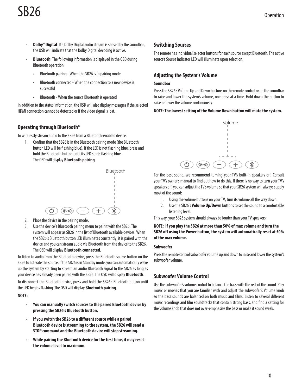# **SB26** Operation

- **Dolby<sup>®</sup> Digital**: If a Dolby Digital audio stream is sensed by the soundbar, the OSD will indicate that the Dolby Digital decoding is active.
- • **Bluetooth**: The following information is displayed in the OSD during Bluetooth operation:
	- • Bluetooth pairing When the SB26 is in pairing mode
	- Bluetooth connected When the connection to a new device is successful
	- • Bluetooth When the source Bluetooth is operated

In addition to the status information, the OSD will also display messages if the selected HDMI connection cannot be detected or if the video signal is lost.

#### **Operating through Bluetooth®**

To wirelessly stream audio to the SB26 from a Bluetooth-enabled device:

1. Confirm that the SB26 is in the Bluetooth pairing mode (the Bluetooth button LED will be flashing blue). If the LED is not flashing blue, press and hold the Bluetooth button until its LED starts flashing blue. The OSD will display **Bluetooth pairing**.



- 2. Place the device in the pairing mode.
- 3. Use the device's Bluetooth pairing menu to pair it with the SB26. The system will appear as SB26 in the list of Bluetooth available devices. When the SB26's Bluetooth button LED illuminates constantly, it is paired with the device and you can stream audio via Bluetooth from the device to the SB26. The OSD will display **Bluetooth connected**.

To listen to audio from the Bluetooth device, press the Bluetooth source button on the SB26 to activate the source. If the SB26 is in Standby mode, you can automatically wake up the system by starting to stream an audio Bluetooth signal to the SB26 as long as your device has already been paired with the SB26. The OSD will display **Bluetooth**.

To disconnect the Bluetooth device, press and hold the SB26's Bluetooth button until the LED begins flashing. The OSD will display **Bluetooth pairing**.

#### **NOTE:**

- You can manually switch sources to the paired Bluetooth device by **pressing the SB26's Bluetooth button.**
- • **If you switch the SB26 to a different source while a paired Bluetooth device is streaming to the system, the SB26 will send a STOP command and the Bluetooth device will stop streaming.**
- • **While pairing the Bluetooth device for the first time, it may reset the volume level to maximum.**

#### **Switching Sources**

The remote has individual selector buttons for each source except Bluetooth. The active source's Source Indicator LED will illuminate upon selection.

#### **Adjusting the System's Volume**

#### **Soundbar**

Press the SB26's Volume Up and Down buttons on the remote control or on the soundbar to raise and lower the system's volume, one press at a time. Hold down the button to raise or lower the volume continuously.

#### **NOTE: The lowest setting of the Volume Down button will mute the system.**



For the best sound, we recommend turning your TV's built-in speakers off. Consult your TV's owner's manual to find out how to do this. If there is no way to turn your TV's speakers off, you can adjust the TV's volume so that your SB26 system will always supply most of the sound:

- 1. Using the volume buttons on your TV, turn its volume all the way down.
- 2. Use the SB26's **Volume Up/Down** buttons to set the sound to a comfortable listening level.

This way, your SB26 system should always be louder than your TV speakers.

**NOTE: If you play the SB26 at more than 50% of max volume and turn the SB26 off using the Power button, the system will automatically reset at 50% of the max volume.**

#### **Subwoofer**

Press the remote control subwoofer volume up and down to raise and lower the system's subwoofer volume.

#### **Subwoofer Volume Control**

Use the subwoofer's volume control to balance the bass with the rest of the sound. Play music or movies that you are familiar with and adjust the subwoofer's Volume knob so the bass sounds are balanced on both music and films. Listen to several different music recordings and film soundtracks that contain strong bass, and find a setting for the Volume knob that does not over-emphasize the bass or make it sound weak.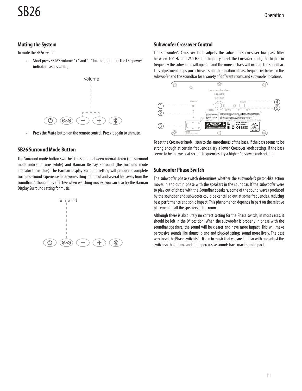#### **Muting the System**

To mute the SB26 system:

• Short press SB26's volume "**+"** and "**–"** button together (The LED power indicator flashes white).



• Press the **Mute** button on the remote control. Press it again to unmute.

#### **SB26 Surround Mode Button**

The Surround mode button switches the sound between normal stereo (the surround mode indicator turns white) and Harman Display Surround (the surround mode indicator turns blue). The Harman Display Surround setting will produce a complete surround-sound experience for anyone sitting in front of and several feet away from the soundbar. Although it is effective when watching movies, you can also try the Harman Display Surround setting for music.



#### **Subwoofer Crossover Control**

The subwoofer's Crossover knob adjusts the subwoofer's crossover low pass filter between 100 Hz and 250 Hz. The higher you set the Crossover knob, the higher in frequency the subwoofer will operate and the more its bass will overlap the soundbar. This adjustment helps you achieve a smooth transition of bass frequencies between the subwoofer and the soundbar for a variety of different rooms and subwoofer locations.



To set the Crossover knob, listen to the smoothness of the bass. If the bass seems to be strong enough at certain frequencies, try a lower Crossover knob setting. If the bass seems to be too weak at certain frequencies, try a higher Crossover knob setting.

#### **Subwoofer Phase Switch**

The subwoofer phase switch determines whether the subwoofer's piston-like action moves in and out in phase with the speakers in the soundbar. If the subwoofer were to play out of phase with the Soundbar speakers, some of the sound waves produced by the soundbar and subwoofer could be cancelled out at some frequencies, reducing bass performance and sonic impact. This phenomenon depends in part on the relative placement of all the speakers in the room.

Although there is absolutely no correct setting for the Phase switch, in most cases, it should be left in the 0° position. When the subwoofer is properly in phase with the soundbar speakers, the sound will be clearer and have more impact. This will make percussive sounds like drums, piano and plucked strings sound more lively. The best way to set the Phase switch is to listen to music that you are familiar with and adjust the switch so that drums and other percussive sounds have maximum impact.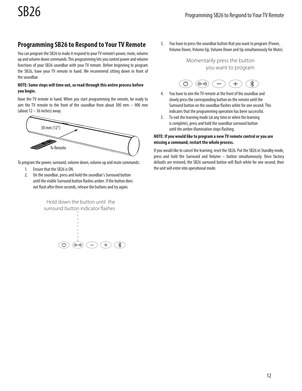# **Programming SB26 to Respond to Your TV Remote**

You can program the SB26 to make it respond to your TV remote's power, mute, volume up and volume down commands. This programming lets you control power and volume functions of your SB26 soundbar with your TV remote. Before beginning to program the SB26, have your TV remote in hand. We recommend sitting down in front of the soundbar.

#### **NOTE: Some steps will time out, so read through this entire process before you begin.**

Have the TV remote in hand. When you start programming the remote, be ready to aim the TV remote to the front of the soundbar from about 300 mm – 900 mm (about 12 – 36 inches) away.



To program the power, surround, volume down, volume up and mute commands:

- 1. Ensure that the SB26 is ON.
- 2. On the soundbar, press and hold the soundbar's Surround button until the visible Surround button flashes amber. If the button does not flash after three seconds, release the buttons and try again.

Hold down the button until the surround button indicator flashes



3. You have to press the soundbar button that you want to program (Power, Volume Down, Volume Up, Volume Down and Up simultaneously for Mute).

> Momentarily press the button you want to program



- 4. You have to aim the TV remote at the front of the soundbar and slowly press the corresponding button on the remote until the Surround button on the soundbar flashes white for one second. This indicates that the programming operation has been successful.
- 5. To exit the learning mode (at any time or when the learning is complete), press and hold the soundbar surround button until the amber illumination stops flashing.

#### **NOTE: If you would like to program a new TV remote control or you are missing a command, restart the whole process.**

If you would like to cancel the learning, reset the SB26. Put the SB26 in Standby mode, press and hold the Surround and Volume – button simultaneously. Once factory defaults are restored, the SB26 surround button will flash white for one second, then the unit will enter into operational mode.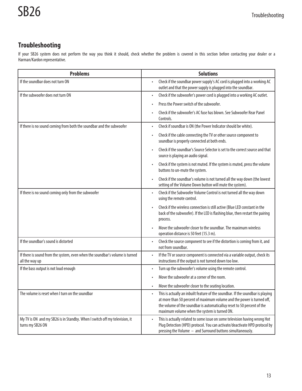# **Troubleshooting**

If your SB26 system does not perform the way you think it should, check whether the problem is covered in this section before contacting your dealer or a Harman/Kardon representative.

| <b>Problems</b>                                                                                | <b>Solutions</b>                                                                                                                                                                                                                                                                     |
|------------------------------------------------------------------------------------------------|--------------------------------------------------------------------------------------------------------------------------------------------------------------------------------------------------------------------------------------------------------------------------------------|
| If the soundbar does not turn ON                                                               | Check if the soundbar power supply's AC cord is plugged into a working AC<br>outlet and that the power supply is plugged into the soundbar.                                                                                                                                          |
| If the subwoofer does not turn ON                                                              | Check if the subwoofer's power cord is plugged into a working AC outlet.                                                                                                                                                                                                             |
|                                                                                                | Press the Power switch of the subwoofer.                                                                                                                                                                                                                                             |
|                                                                                                | Check if the subwoofer's AC fuse has blown. See Subwoofer Rear Panel<br>Controls.                                                                                                                                                                                                    |
| If there is no sound coming from both the soundbar and the subwoofer                           | Check if soundbar is ON (the Power Indicator should be white).                                                                                                                                                                                                                       |
|                                                                                                | Check if the cable connecting the TV or other source component to<br>soundbar is properly connected at both ends.                                                                                                                                                                    |
|                                                                                                | Check if the soundbar's Source Selector is set to the correct source and that<br>source is playing an audio signal.                                                                                                                                                                  |
|                                                                                                | Check if the system is not muted. If the system is muted, press the volume<br>buttons to un-mute the system.                                                                                                                                                                         |
|                                                                                                | Check if the soundbar's volume is not turned all the way down (the lowest<br>setting of the Volume Down button will mute the system).                                                                                                                                                |
| If there is no sound coming only from the subwoofer                                            | Check if the Subwoofer Volume Control is not turned all the way down<br>using the remote control.                                                                                                                                                                                    |
|                                                                                                | Check if the wireless connection is still active (Blue LED constant in the<br>back of the subwoofer). If the LED is flashing blue, then restart the pairing<br>process.                                                                                                              |
|                                                                                                | Move the subwoofer closer to the soundbar. The maximum wireless<br>operation distance is 50 feet (15.3 m).                                                                                                                                                                           |
| If the soundbar's sound is distorted                                                           | Check the source component to see if the distortion is coming from it, and<br>not from soundbar.                                                                                                                                                                                     |
| If there is sound from the system, even when the soundbar's volume is turned<br>all the way up | If the TV or source component is connected via a variable output, check its<br>instructions if the output is not turned down too low.                                                                                                                                                |
| If the bass output is not loud enough                                                          | Turn up the subwoofer's volume using the remote control.                                                                                                                                                                                                                             |
|                                                                                                | Move the subwoofer at a corner of the room.                                                                                                                                                                                                                                          |
|                                                                                                | Move the subwoofer closer to the seating location.                                                                                                                                                                                                                                   |
| The volume is reset when I turn on the soundbar                                                | This is actually an inbuilt feature of the soundbar. If the soundbar is playing<br>at more than 50 percent of maximum volume and the power is turned off,<br>the volume of the soundbar is automaticalluy reset to 50 percent of the<br>maximum volume when the system is turned ON. |
| My TV is ON and my SB26 is in Standby. When I switch off my television, it<br>turns my SB26 ON | This is actually related to some issue on some television having wrong Hot<br>Plug Detection (HPD) protocol. You can activate/deactivate HPD protocol by<br>pressing the Volume - and Surround buttons simultaneously.                                                               |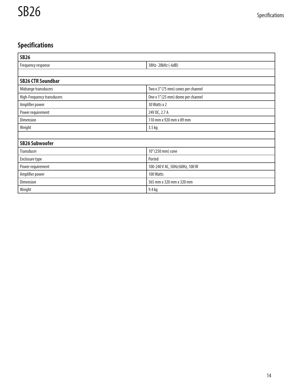# **Specifications**

| <b>SB26</b>                |                                    |  |  |
|----------------------------|------------------------------------|--|--|
| Frequency response         | 38Hz-28kHz (-6dB)                  |  |  |
|                            |                                    |  |  |
| <b>SB26 CTR Soundbar</b>   |                                    |  |  |
| Midrange transducers       | Two x 3" (75 mm) cones per channel |  |  |
| High-Frequency transducers | One x 1" (25 mm) dome per channel  |  |  |
| Amplifier power            | 30 Watts x 2                       |  |  |
| Power requirement          | 24V DC, 2.7 A                      |  |  |
| Dimension                  | 110 mm x 920 mm x 89 mm            |  |  |
| Weight                     | 3.5 kg                             |  |  |
|                            |                                    |  |  |
| <b>SB26 Subwoofer</b>      |                                    |  |  |
| Transducer                 | 10" (250 mm) cone                  |  |  |
| Enclosure type             | Ported                             |  |  |
| Power requirement          | 100-240 V AC, 50Hz/60Hz, 100 W     |  |  |
| Amplifier power            | 100 Watts                          |  |  |
| Dimension                  | 365 mm x 320 mm x 320 mm           |  |  |
| Weight                     | 9.4 kg                             |  |  |